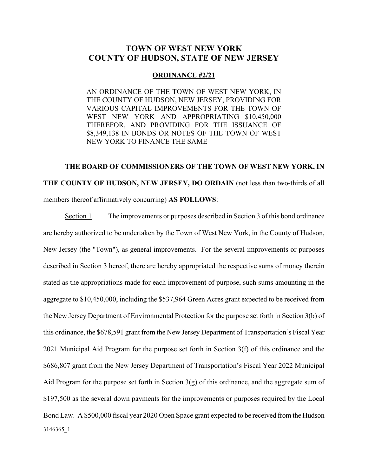# **TOWN OF WEST NEW YORK COUNTY OF HUDSON, STATE OF NEW JERSEY**

#### **ORDINANCE #2/21**

AN ORDINANCE OF THE TOWN OF WEST NEW YORK, IN THE COUNTY OF HUDSON, NEW JERSEY, PROVIDING FOR VARIOUS CAPITAL IMPROVEMENTS FOR THE TOWN OF WEST NEW YORK AND APPROPRIATING \$10,450,000 THEREFOR, AND PROVIDING FOR THE ISSUANCE OF \$8,349,138 IN BONDS OR NOTES OF THE TOWN OF WEST NEW YORK TO FINANCE THE SAME

**THE BOARD OF COMMISSIONERS OF THE TOWN OF WEST NEW YORK, IN THE COUNTY OF HUDSON, NEW JERSEY, DO ORDAIN** (not less than two-thirds of all members thereof affirmatively concurring) **AS FOLLOWS**:

3146365\_1 Section 1. The improvements or purposes described in Section 3 of this bond ordinance are hereby authorized to be undertaken by the Town of West New York, in the County of Hudson, New Jersey (the "Town"), as general improvements. For the several improvements or purposes described in Section 3 hereof, there are hereby appropriated the respective sums of money therein stated as the appropriations made for each improvement of purpose, such sums amounting in the aggregate to \$10,450,000, including the \$537,964 Green Acres grant expected to be received from the New Jersey Department of Environmental Protection for the purpose set forth in Section 3(b) of this ordinance, the \$678,591 grant from the New Jersey Department of Transportation's Fiscal Year 2021 Municipal Aid Program for the purpose set forth in Section 3(f) of this ordinance and the \$686,807 grant from the New Jersey Department of Transportation's Fiscal Year 2022 Municipal Aid Program for the purpose set forth in Section  $3(g)$  of this ordinance, and the aggregate sum of \$197,500 as the several down payments for the improvements or purposes required by the Local Bond Law. A \$500,000 fiscal year 2020 Open Space grant expected to be received from the Hudson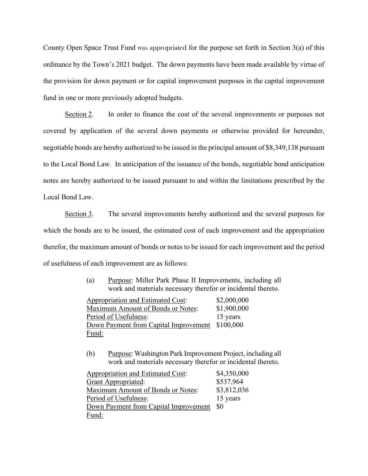County Open Space Trust Fund was appropriated for the purpose set forth in Section 3(a) of this ordinance by the Town's 2021 budget. The down payments have been made available by virtue of the provision for down payment or for capital improvement purposes in the capital improvement fund in one or more previously adopted budgets.

Section 2. In order to finance the cost of the several improvements or purposes not covered by application of the several down payments or otherwise provided for hereunder, negotiable bonds are hereby authorized to be issued in the principal amount of \$8,349,138 pursuant to the Local Bond Law. In anticipation of the issuance of the bonds, negotiable bond anticipation notes are hereby authorized to be issued pursuant to and within the limitations prescribed by the Local Bond Law.

Section 3. The several improvements hereby authorized and the several purposes for which the bonds are to be issued, the estimated cost of each improvement and the appropriation therefor, the maximum amount of bonds or notes to be issued for each improvement and the period of usefulness of each improvement are as follows:

> (a) Purpose: Miller Park Phase II Improvements, including all work and materials necessary therefor or incidental thereto.

Appropriation and Estimated Cost: \$2,000,000 Maximum Amount of Bonds or Notes: \$1,900,000 Period of Usefulness: 15 years Down Payment from Capital Improvement \$100,000 Fund:

(b) Purpose: Washington Park Improvement Project, including all work and materials necessary therefor or incidental thereto.

| Appropriation and Estimated Cost:        | \$4,350,000 |
|------------------------------------------|-------------|
| <b>Grant Appropriated:</b>               | \$537,964   |
| <b>Maximum Amount of Bonds or Notes:</b> | \$3,812,036 |
| Period of Usefulness:                    | 15 years    |
| Down Payment from Capital Improvement    | <b>SO</b>   |
| Fund:                                    |             |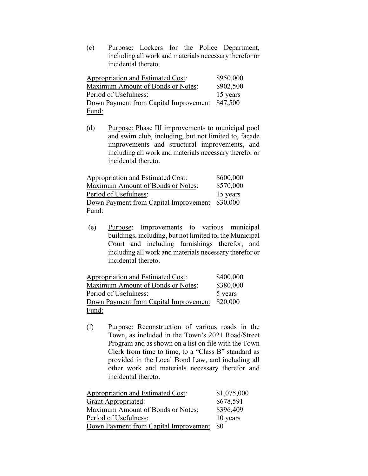(c) Purpose: Lockers for the Police Department, including all work and materials necessary therefor or incidental thereto.

| Appropriation and Estimated Cost:              | \$950,000 |
|------------------------------------------------|-----------|
| Maximum Amount of Bonds or Notes:              | \$902,500 |
| Period of Usefulness:                          | 15 years  |
| Down Payment from Capital Improvement \$47,500 |           |
| Fund:                                          |           |

(d) Purpose: Phase III improvements to municipal pool and swim club, including, but not limited to, façade improvements and structural improvements, and including all work and materials necessary therefor or incidental thereto.

| Appropriation and Estimated Cost:     | \$600,000 |
|---------------------------------------|-----------|
| Maximum Amount of Bonds or Notes:     | \$570,000 |
| Period of Usefulness:                 | 15 years  |
| Down Payment from Capital Improvement | \$30,000  |
| Fund:                                 |           |

(e) Purpose: Improvements to various municipal buildings, including, but not limited to, the Municipal Court and including furnishings therefor, and including all work and materials necessary therefor or incidental thereto.

| Appropriation and Estimated Cost:              | \$400,000 |
|------------------------------------------------|-----------|
| Maximum Amount of Bonds or Notes:              | \$380,000 |
| Period of Usefulness:                          | 5 years   |
| Down Payment from Capital Improvement \$20,000 |           |
| Fund:                                          |           |

(f) Purpose: Reconstruction of various roads in the Town, as included in the Town's 2021 Road/Street Program and as shown on a list on file with the Town Clerk from time to time, to a "Class B" standard as provided in the Local Bond Law, and including all other work and materials necessary therefor and incidental thereto.

| <b>Appropriation and Estimated Cost:</b> | \$1,075,000 |
|------------------------------------------|-------------|
| <b>Grant Appropriated:</b>               | \$678,591   |
| Maximum Amount of Bonds or Notes:        | \$396,409   |
| Period of Usefulness:                    | 10 years    |
| Down Payment from Capital Improvement    | <b>SO</b>   |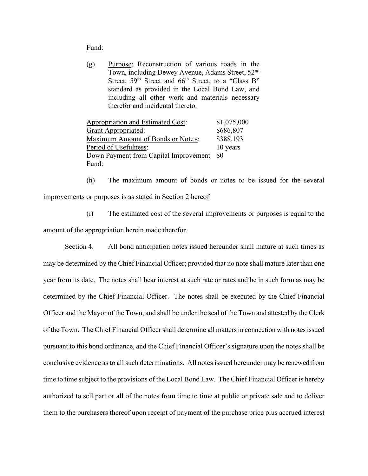#### Fund:

(g) Purpose: Reconstruction of various roads in the Town, including Dewey Avenue, Adams Street, 52nd Street, 59<sup>th</sup> Street and 66<sup>th</sup> Street, to a "Class B" standard as provided in the Local Bond Law, and including all other work and materials necessary therefor and incidental thereto.

| Appropriation and Estimated Cost:     | \$1,075,000 |
|---------------------------------------|-------------|
| <b>Grant Appropriated:</b>            | \$686,807   |
| Maximum Amount of Bonds or Notes:     | \$388,193   |
| Period of Usefulness:                 | 10 years    |
| Down Payment from Capital Improvement | -80         |
| Fund:                                 |             |

(h) The maximum amount of bonds or notes to be issued for the several improvements or purposes is as stated in Section 2 hereof.

(i) The estimated cost of the several improvements or purposes is equal to the amount of the appropriation herein made therefor.

Section 4. All bond anticipation notes issued hereunder shall mature at such times as may be determined by the Chief Financial Officer; provided that no note shall mature later than one year from its date. The notes shall bear interest at such rate or rates and be in such form as may be determined by the Chief Financial Officer. The notes shall be executed by the Chief Financial Officer and the Mayor of the Town, and shall be under the seal of the Town and attested by the Clerk of the Town. The Chief Financial Officershall determine all matters in connection with notes issued pursuant to this bond ordinance, and the Chief Financial Officer's signature upon the notes shall be conclusive evidence as to all such determinations. All notes issued hereunder may be renewed from time to time subject to the provisions of the Local Bond Law. The Chief Financial Officer is hereby authorized to sell part or all of the notes from time to time at public or private sale and to deliver them to the purchasers thereof upon receipt of payment of the purchase price plus accrued interest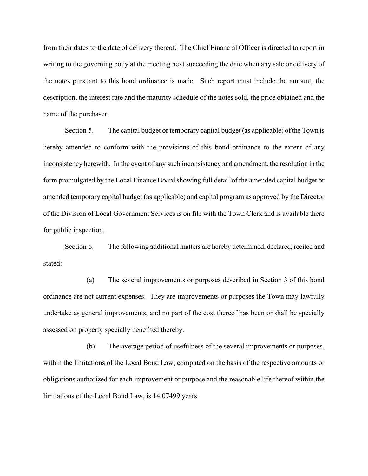from their dates to the date of delivery thereof. The Chief Financial Officer is directed to report in writing to the governing body at the meeting next succeeding the date when any sale or delivery of the notes pursuant to this bond ordinance is made. Such report must include the amount, the description, the interest rate and the maturity schedule of the notes sold, the price obtained and the name of the purchaser.

Section 5. The capital budget or temporary capital budget (as applicable) of the Town is hereby amended to conform with the provisions of this bond ordinance to the extent of any inconsistency herewith. In the event of any such inconsistency and amendment, the resolution in the form promulgated by the Local Finance Board showing full detail of the amended capital budget or amended temporary capital budget (as applicable) and capital program as approved by the Director of the Division of Local Government Services is on file with the Town Clerk and is available there for public inspection.

Section 6. The following additional matters are hereby determined, declared, recited and stated:

(a) The several improvements or purposes described in Section 3 of this bond ordinance are not current expenses. They are improvements or purposes the Town may lawfully undertake as general improvements, and no part of the cost thereof has been or shall be specially assessed on property specially benefited thereby.

(b) The average period of usefulness of the several improvements or purposes, within the limitations of the Local Bond Law, computed on the basis of the respective amounts or obligations authorized for each improvement or purpose and the reasonable life thereof within the limitations of the Local Bond Law, is 14.07499 years.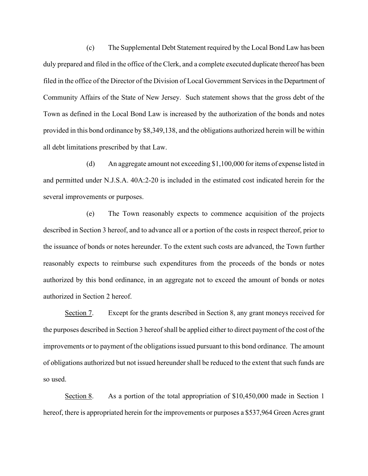(c) The Supplemental Debt Statement required by the Local Bond Law has been duly prepared and filed in the office of the Clerk, and a complete executed duplicate thereof has been filed in the office of the Director of the Division of Local Government Services in the Department of Community Affairs of the State of New Jersey. Such statement shows that the gross debt of the Town as defined in the Local Bond Law is increased by the authorization of the bonds and notes provided in this bond ordinance by \$8,349,138, and the obligations authorized herein will be within all debt limitations prescribed by that Law.

(d) An aggregate amount not exceeding \$1,100,000 for items of expense listed in and permitted under N.J.S.A. 40A:2-20 is included in the estimated cost indicated herein for the several improvements or purposes.

(e) The Town reasonably expects to commence acquisition of the projects described in Section 3 hereof, and to advance all or a portion of the costs in respect thereof, prior to the issuance of bonds or notes hereunder. To the extent such costs are advanced, the Town further reasonably expects to reimburse such expenditures from the proceeds of the bonds or notes authorized by this bond ordinance, in an aggregate not to exceed the amount of bonds or notes authorized in Section 2 hereof.

Section 7. Except for the grants described in Section 8, any grant moneys received for the purposes described in Section 3 hereof shall be applied either to direct payment of the cost of the improvements or to payment of the obligations issued pursuant to this bond ordinance. The amount of obligations authorized but not issued hereunder shall be reduced to the extent that such funds are so used.

Section 8. As a portion of the total appropriation of  $$10,450,000$  made in Section 1 hereof, there is appropriated herein for the improvements or purposes a \$537,964 Green Acres grant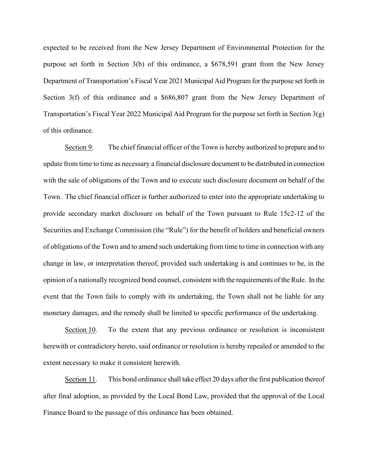expected to be received from the New Jersey Department of Environmental Protection for the purpose set forth in Section 3(b) of this ordinance, a \$678,591 grant from the New Jersey Department of Transportation's Fiscal Year 2021 Municipal Aid Program for the purpose set forth in Section 3(f) of this ordinance and a \$686,807 grant from the New Jersey Department of Transportation's Fiscal Year 2022 Municipal Aid Program for the purpose set forth in Section  $3(g)$ of this ordinance.

Section 9. The chief financial officer of the Town is hereby authorized to prepare and to update from time to time as necessary a financial disclosure document to be distributed in connection with the sale of obligations of the Town and to execute such disclosure document on behalf of the Town. The chief financial officer is further authorized to enter into the appropriate undertaking to provide secondary market disclosure on behalf of the Town pursuant to Rule 15c2-12 of the Securities and Exchange Commission (the "Rule") for the benefit of holders and beneficial owners of obligations of the Town and to amend such undertaking from time to time in connection with any change in law, or interpretation thereof, provided such undertaking is and continues to be, in the opinion of a nationally recognized bond counsel, consistent with the requirements of the Rule. In the event that the Town fails to comply with its undertaking, the Town shall not be liable for any monetary damages, and the remedy shall be limited to specific performance of the undertaking.

Section 10. To the extent that any previous ordinance or resolution is inconsistent herewith or contradictory hereto, said ordinance or resolution is hereby repealed or amended to the extent necessary to make it consistent herewith.

Section 11. This bond ordinance shall take effect 20 days after the first publication thereof after final adoption, as provided by the Local Bond Law, provided that the approval of the Local Finance Board to the passage of this ordinance has been obtained.